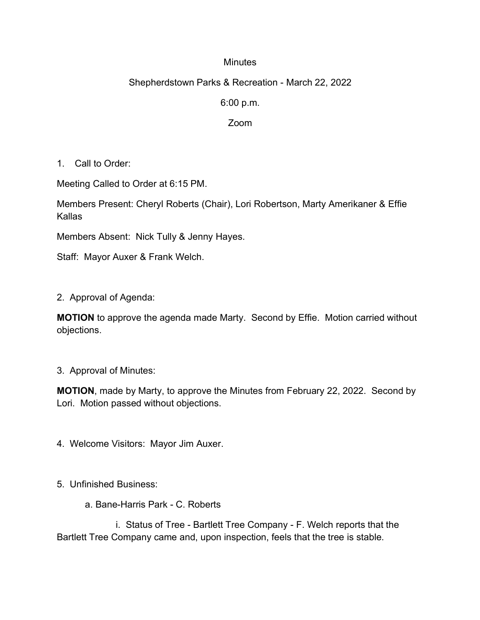## **Minutes**

## Shepherdstown Parks & Recreation - March 22, 2022

6:00 p.m.

Zoom

1. Call to Order:

Meeting Called to Order at 6:15 PM.

Members Present: Cheryl Roberts (Chair), Lori Robertson, Marty Amerikaner & Effie Kallas

Members Absent: Nick Tully & Jenny Hayes.

Staff: Mayor Auxer & Frank Welch.

2. Approval of Agenda:

**MOTION** to approve the agenda made Marty. Second by Effie. Motion carried without objections.

3. Approval of Minutes:

**MOTION**, made by Marty, to approve the Minutes from February 22, 2022. Second by Lori. Motion passed without objections.

4. Welcome Visitors: Mayor Jim Auxer.

- 5. Unfinished Business:
	- a. Bane-Harris Park C. Roberts

 i. Status of Tree - Bartlett Tree Company - F. Welch reports that the Bartlett Tree Company came and, upon inspection, feels that the tree is stable.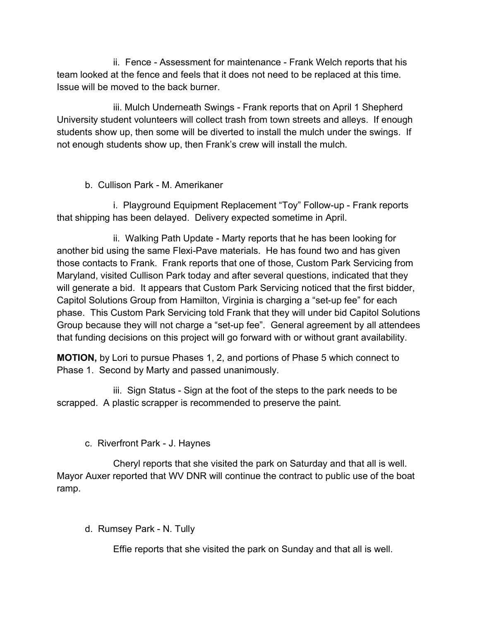ii. Fence - Assessment for maintenance - Frank Welch reports that his team looked at the fence and feels that it does not need to be replaced at this time. Issue will be moved to the back burner.

iii. Mulch Underneath Swings - Frank reports that on April 1 Shepherd University student volunteers will collect trash from town streets and alleys. If enough students show up, then some will be diverted to install the mulch under the swings. If not enough students show up, then Frank's crew will install the mulch.

## b. Cullison Park - M. Amerikaner

 i. Playground Equipment Replacement "Toy" Follow-up - Frank reports that shipping has been delayed. Delivery expected sometime in April.

ii. Walking Path Update - Marty reports that he has been looking for another bid using the same Flexi-Pave materials. He has found two and has given those contacts to Frank. Frank reports that one of those, Custom Park Servicing from Maryland, visited Cullison Park today and after several questions, indicated that they will generate a bid. It appears that Custom Park Servicing noticed that the first bidder, Capitol Solutions Group from Hamilton, Virginia is charging a "set-up fee" for each phase. This Custom Park Servicing told Frank that they will under bid Capitol Solutions Group because they will not charge a "set-up fee". General agreement by all attendees that funding decisions on this project will go forward with or without grant availability.

**MOTION,** by Lori to pursue Phases 1, 2, and portions of Phase 5 which connect to Phase 1. Second by Marty and passed unanimously.

iii. Sign Status - Sign at the foot of the steps to the park needs to be scrapped. A plastic scrapper is recommended to preserve the paint.

c. Riverfront Park - J. Haynes

Cheryl reports that she visited the park on Saturday and that all is well. Mayor Auxer reported that WV DNR will continue the contract to public use of the boat ramp.

d. Rumsey Park - N. Tully

Effie reports that she visited the park on Sunday and that all is well.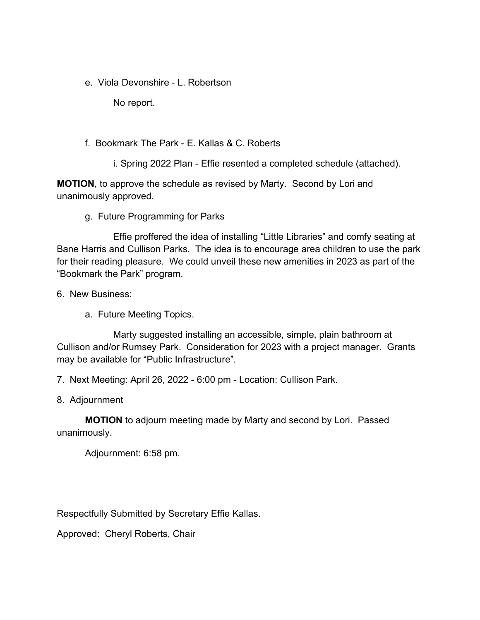e. Viola Devonshire - L. Robertson

No report.

f. Bookmark The Park - E. Kallas & C. Roberts

i. Spring 2022 Plan - Effie resented a completed schedule (attached).

**MOTION**, to approve the schedule as revised by Marty. Second by Lori and unanimously approved.

g. Future Programming for Parks

Effie proffered the idea of installing "Little Libraries" and comfy seating at Bane Harris and Cullison Parks. The idea is to encourage area children to use the park for their reading pleasure. We could unveil these new amenities in 2023 as part of the "Bookmark the Park" program.

6. New Business:

a. Future Meeting Topics.

Marty suggested installing an accessible, simple, plain bathroom at Cullison and/or Rumsey Park. Consideration for 2023 with a project manager. Grants may be available for "Public Infrastructure".

7. Next Meeting: April 26, 2022 - 6:00 pm - Location: Cullison Park.

8. Adjournment

**MOTION** to adjourn meeting made by Marty and second by Lori. Passed unanimously.

Adjournment: 6:58 pm.

Respectfully Submitted by Secretary Effie Kallas.

Approved: Cheryl Roberts, Chair